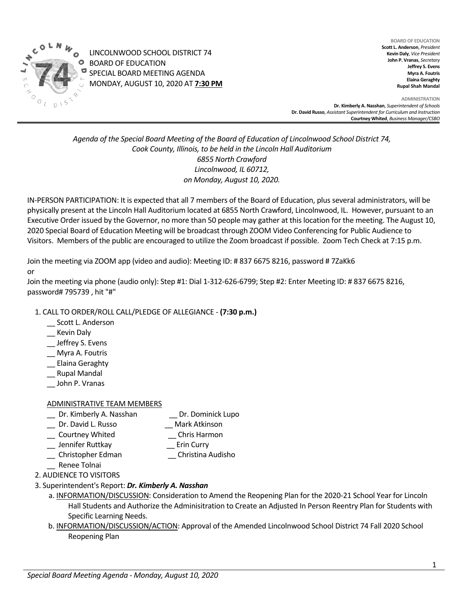

LINCOLNWOOD SCHOOL DISTRICT 74 BOARD OF EDUCATION SPECIAL BOARD MEETING AGENDA MONDAY, AUGUST 10, 2020 AT **7:30 PM**

**BOARD OF EDUCATION Scott L. Anderson**, *President* **Kevin Daly**, *Vice President* **John P. Vranas**, *Secretary* **Jeffrey S. Evens Myra A. Foutris Elaina Geraghty Rupal Shah Mandal**

**ADMINISTRATION Dr. Kimberly A. Nasshan**, *Superintendent of Schools* **Dr. David Russo**, *Assistant Superintendent for Curriculum and Instruction* **Courtney Whited**, *Business Manager/CSBO* 

*Agenda of the Special Board Meeting of the Board of Education of Lincolnwood School District 74, Cook County, Illinois, to be held in the Lincoln Hall Auditorium 6855 North Crawford Lincolnwood, IL 60712, on Monday, August 10, 2020.*

IN-PERSON PARTICIPATION: It is expected that all 7 members of the Board of Education, plus several administrators, will be physically present at the Lincoln Hall Auditorium located at 6855 North Crawford, Lincolnwood, IL. However, pursuant to an Executive Order issued by the Governor, no more than 50 people may gather at this location for the meeting. The August 10, 2020 Special Board of Education Meeting will be broadcast through ZOOM Video Conferencing for Public Audience to Visitors. Members of the public are encouraged to utilize the Zoom broadcast if possible. Zoom Tech Check at 7:15 p.m.

Join the meeting via ZOOM app (video and audio): Meeting ID: # 837 6675 8216, password # 7ZaKk6 or

Join the meeting via phone (audio only): Step #1: Dial 1-312-626-6799; Step #2: Enter Meeting ID: # 837 6675 8216, password# 795739 , hit "#"

## 1. CALL TO ORDER/ROLL CALL/PLEDGE OF ALLEGIANCE - **(7:30 p.m.)**

- \_\_ Scott L. Anderson
- \_\_ Kevin Daly
- \_\_ Jeffrey S. Evens
- \_\_ Myra A. Foutris
- \_\_ Elaina Geraghty
- \_\_ Rupal Mandal
- \_\_ John P. Vranas

## ADMINISTRATIVE TEAM MEMBERS

- Dr. Kimberly A. Nasshan **Dr. Dominick Lupo**
- \_\_ Dr. David L. Russo \_\_ Mark Atkinson
- \_\_ Courtney Whited \_\_ Chris Harmon
- \_\_ Jennifer Ruttkay \_\_ Erin Curry
- \_\_ Christopher Edman \_\_ Christina Audisho
- \_\_ Renee Tolnai
- 2. AUDIENCE TO VISITORS
- 3. Superintendent's Report: *Dr. Kimberly A. Nasshan*
	- a. INFORMATION/DISCUSSION: Consideration to Amend the Reopening Plan for the 2020-21 School Year for Lincoln Hall Students and Authorize the Adminisitration to Create an Adjusted In Person Reentry Plan for Students with Specific Learning Needs.
	- b. INFORMATION/DISCUSSION/ACTION: Approval of the Amended Lincolnwood School District 74 Fall 2020 School Reopening Plan